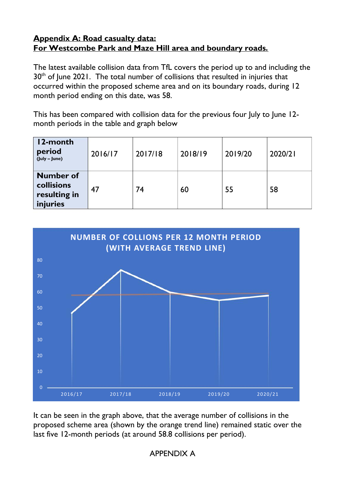## **Appendix A: Road casualty data: For Westcombe Park and Maze Hill area and boundary roads.**

The latest available collision data from TfL covers the period up to and including the  $30<sup>th</sup>$  of June 2021. The total number of collisions that resulted in injuries that occurred within the proposed scheme area and on its boundary roads, during 12 month period ending on this date, was 58.

This has been compared with collision data for the previous four July to June 12month periods in the table and graph below

| 12-month<br>period<br>(July - June)                        | 2016/17 | 2017/18 | 2018/19 | 2019/20 | 2020/21 |
|------------------------------------------------------------|---------|---------|---------|---------|---------|
| <b>Number of</b><br>collisions<br>resulting in<br>injuries | 47      | 74      | 60      | 55      | 58      |



It can be seen in the graph above, that the average number of collisions in the proposed scheme area (shown by the orange trend line) remained static over the last five 12-month periods (at around 58.8 collisions per period).

APPENDIX A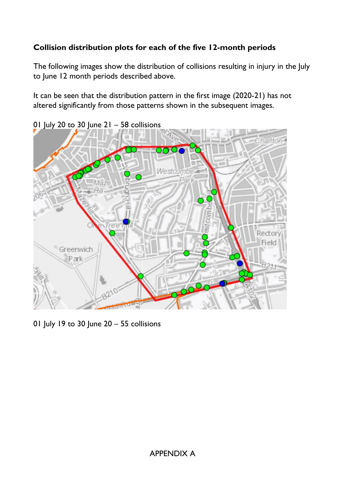## **Collision distribution plots for each of the five 12-month periods**

The following images show the distribution of collisions resulting in injury in the July to June 12 month periods described above.

It can be seen that the distribution pattern in the first image (2020-21) has not altered significantly from those patterns shown in the subsequent images.



01 July 20 to 30 June 21 – 58 collisions

01 July 19 to 30 June 20 – 55 collisions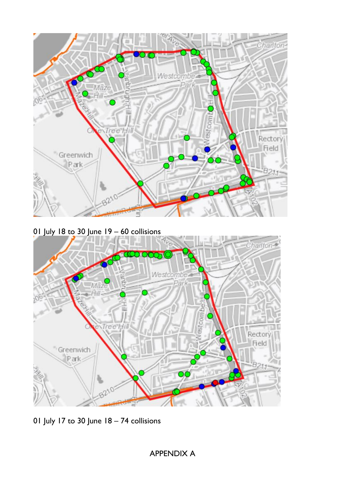

01 July 18 to 30 June 19 – 60 collisions



01 July 17 to 30 June 18 – 74 collisions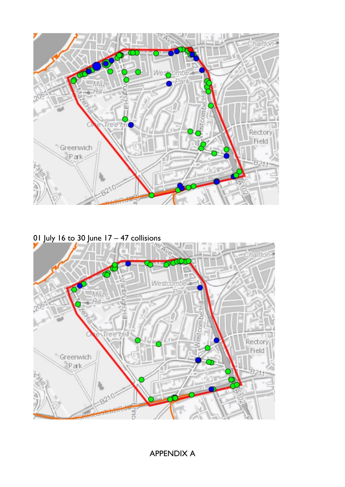

01 July 16 to 30 June 17 – 47 collisions



APPENDIX A